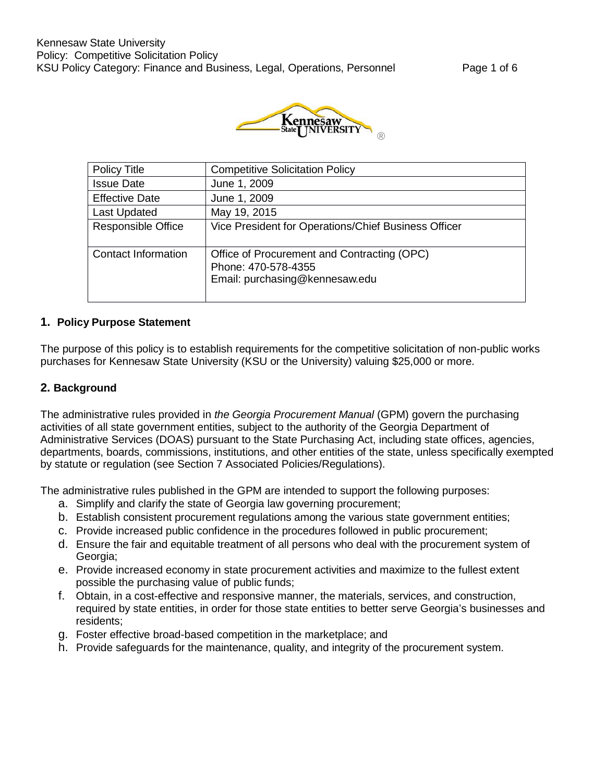

| <b>Policy Title</b>        | <b>Competitive Solicitation Policy</b>                                                               |
|----------------------------|------------------------------------------------------------------------------------------------------|
| <b>Issue Date</b>          | June 1, 2009                                                                                         |
| <b>Effective Date</b>      | June 1, 2009                                                                                         |
| <b>Last Updated</b>        | May 19, 2015                                                                                         |
| Responsible Office         | Vice President for Operations/Chief Business Officer                                                 |
| <b>Contact Information</b> | Office of Procurement and Contracting (OPC)<br>Phone: 470-578-4355<br>Email: purchasing@kennesaw.edu |

# **1. Policy Purpose Statement**

The purpose of this policy is to establish requirements for the competitive solicitation of non-public works purchases for Kennesaw State University (KSU or the University) valuing \$25,000 or more.

#### **2. Background**

The administrative rules provided in *the Georgia Procurement Manual* (GPM) govern the purchasing activities of all state government entities, subject to the authority of the Georgia Department of Administrative Services (DOAS) pursuant to the State Purchasing Act, including state offices, agencies, departments, boards, commissions, institutions, and other entities of the state, unless specifically exempted by statute or regulation (see Section 7 Associated Policies/Regulations).

The administrative rules published in the GPM are intended to support the following purposes:

- a. Simplify and clarify the state of Georgia law governing procurement;
- b. Establish consistent procurement regulations among the various state government entities;
- c. Provide increased public confidence in the procedures followed in public procurement;
- d. Ensure the fair and equitable treatment of all persons who deal with the procurement system of Georgia;
- e. Provide increased economy in state procurement activities and maximize to the fullest extent possible the purchasing value of public funds;
- f. Obtain, in a cost-effective and responsive manner, the materials, services, and construction, required by state entities, in order for those state entities to better serve Georgia's businesses and residents;
- g. Foster effective broad-based competition in the marketplace; and
- h. Provide safeguards for the maintenance, quality, and integrity of the procurement system.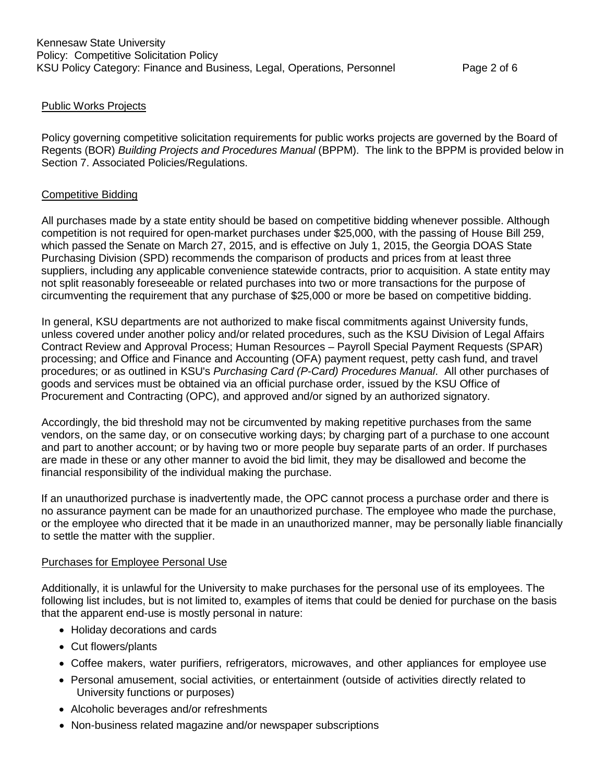#### Public Works Projects

Policy governing competitive solicitation requirements for public works projects are governed by the Board of Regents (BOR) *Building Projects and Procedures Manual* (BPPM). The link to the BPPM is provided below in Section 7. Associated Policies/Regulations.

#### Competitive Bidding

All purchases made by a state entity should be based on competitive bidding whenever possible. Although competition is not required for open-market purchases under \$25,000, with the passing of House Bill 259, which passed the Senate on March 27, 2015, and is effective on July 1, 2015, the Georgia DOAS State Purchasing Division (SPD) recommends the comparison of products and prices from at least three suppliers, including any applicable convenience statewide contracts, prior to acquisition. A state entity may not split reasonably foreseeable or related purchases into two or more transactions for the purpose of circumventing the requirement that any purchase of \$25,000 or more be based on competitive bidding.

In general, KSU departments are not authorized to make fiscal commitments against University funds, unless covered under another policy and/or related procedures, such as the KSU Division of Legal Affairs Contract Review and Approval Process; Human Resources – Payroll Special Payment Requests (SPAR) processing; and Office and Finance and Accounting (OFA) payment request, petty cash fund, and travel procedures; or as outlined in KSU's *Purchasing Card (P-Card) Procedures Manual*. All other purchases of goods and services must be obtained via an official purchase order, issued by the KSU Office of Procurement and Contracting (OPC), and approved and/or signed by an authorized signatory.

Accordingly, the bid threshold may not be circumvented by making repetitive purchases from the same vendors, on the same day, or on consecutive working days; by charging part of a purchase to one account and part to another account; or by having two or more people buy separate parts of an order. If purchases are made in these or any other manner to avoid the bid limit, they may be disallowed and become the financial responsibility of the individual making the purchase.

If an unauthorized purchase is inadvertently made, the OPC cannot process a purchase order and there is no assurance payment can be made for an unauthorized purchase. The employee who made the purchase, or the employee who directed that it be made in an unauthorized manner, may be personally liable financially to settle the matter with the supplier.

#### Purchases for Employee Personal Use

Additionally, it is unlawful for the University to make purchases for the personal use of its employees. The following list includes, but is not limited to, examples of items that could be denied for purchase on the basis that the apparent end-use is mostly personal in nature:

- Holiday decorations and cards
- Cut flowers/plants
- Coffee makers, water purifiers, refrigerators, microwaves, and other appliances for employee use
- Personal amusement, social activities, or entertainment (outside of activities directly related to University functions or purposes)
- Alcoholic beverages and/or refreshments
- Non-business related magazine and/or newspaper subscriptions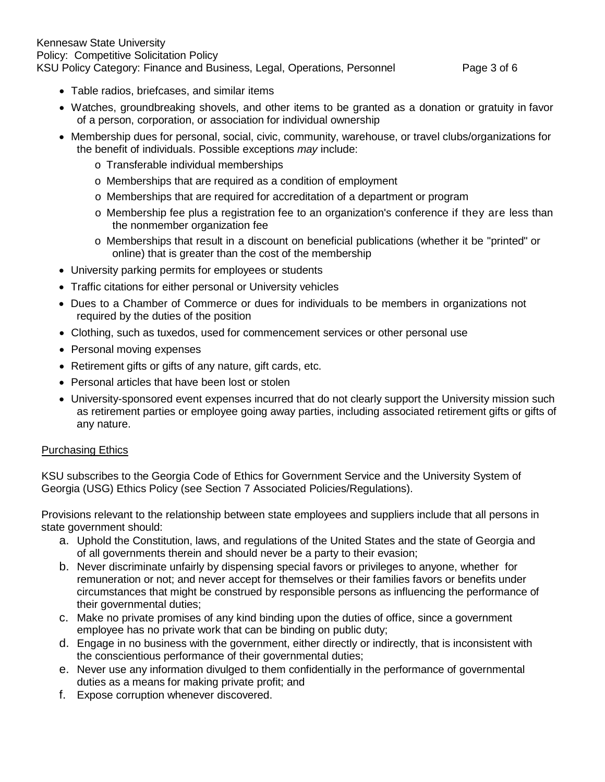# Kennesaw State University Policy: Competitive Solicitation Policy KSU Policy Category: Finance and Business, Legal, Operations, Personnel Page 3 of 6

- Table radios, briefcases, and similar items
- Watches, groundbreaking shovels, and other items to be granted as a donation or gratuity in favor of a person, corporation, or association for individual ownership
- Membership dues for personal, social, civic, community, warehouse, or travel clubs/organizations for the benefit of individuals. Possible exceptions *may* include:
	- o Transferable individual memberships
	- o Memberships that are required as a condition of employment
	- o Memberships that are required for accreditation of a department or program
	- o Membership fee plus a registration fee to an organization's conference if they are less than the nonmember organization fee
	- o Memberships that result in a discount on beneficial publications (whether it be "printed" or online) that is greater than the cost of the membership
- University parking permits for employees or students
- Traffic citations for either personal or University vehicles
- Dues to a Chamber of Commerce or dues for individuals to be members in organizations not required by the duties of the position
- Clothing, such as tuxedos, used for commencement services or other personal use
- Personal moving expenses
- Retirement gifts or gifts of any nature, gift cards, etc.
- Personal articles that have been lost or stolen
- University-sponsored event expenses incurred that do not clearly support the University mission such as retirement parties or employee going away parties, including associated retirement gifts or gifts of any nature.

#### Purchasing Ethics

KSU subscribes to the Georgia Code of Ethics for Government Service and the University System of Georgia (USG) Ethics Policy (see Section 7 Associated Policies/Regulations).

Provisions relevant to the relationship between state employees and suppliers include that all persons in state government should:

- a. Uphold the Constitution, laws, and regulations of the United States and the state of Georgia and of all governments therein and should never be a party to their evasion;
- b. Never discriminate unfairly by dispensing special favors or privileges to anyone, whether for remuneration or not; and never accept for themselves or their families favors or benefits under circumstances that might be construed by responsible persons as influencing the performance of their governmental duties;
- c. Make no private promises of any kind binding upon the duties of office, since a government employee has no private work that can be binding on public duty;
- d. Engage in no business with the government, either directly or indirectly, that is inconsistent with the conscientious performance of their governmental duties;
- e. Never use any information divulged to them confidentially in the performance of governmental duties as a means for making private profit; and
- f. Expose corruption whenever discovered.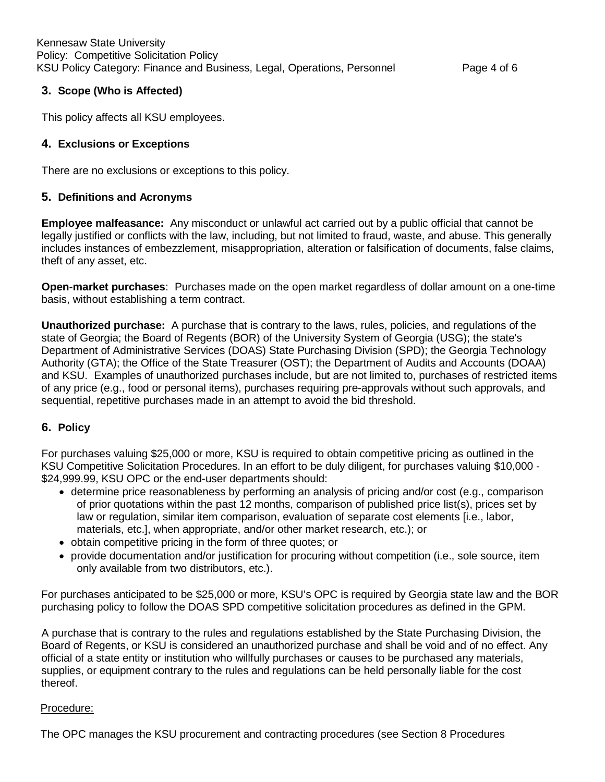# **3. Scope (Who is Affected)**

This policy affects all KSU employees.

# **4. Exclusions or Exceptions**

There are no exclusions or exceptions to this policy.

# **5. Definitions and Acronyms**

**Employee malfeasance:** Any misconduct or unlawful act carried out by a public official that cannot be legally justified or conflicts with the law, including, but not limited to fraud, waste, and abuse. This generally includes instances of embezzlement, misappropriation, alteration or falsification of documents, false claims, theft of any asset, etc.

**Open-market purchases**: Purchases made on the open market regardless of dollar amount on a one-time basis, without establishing a term contract.

**Unauthorized purchase:** A purchase that is contrary to the laws, rules, policies, and regulations of the state of Georgia; the Board of Regents (BOR) of the University System of Georgia (USG); the state's Department of Administrative Services (DOAS) State Purchasing Division (SPD); the Georgia Technology Authority (GTA); the Office of the State Treasurer (OST); the Department of Audits and Accounts (DOAA) and KSU. Examples of unauthorized purchases include, but are not limited to, purchases of restricted items of any price (e.g., food or personal items), purchases requiring pre-approvals without such approvals, and sequential, repetitive purchases made in an attempt to avoid the bid threshold.

## **6. Policy**

For purchases valuing \$25,000 or more, KSU is required to obtain competitive pricing as outlined in the KSU Competitive Solicitation Procedures. In an effort to be duly diligent, for purchases valuing \$10,000 - \$24,999.99, KSU OPC or the end-user departments should:

- determine price reasonableness by performing an analysis of pricing and/or cost (e.g., comparison of prior quotations within the past 12 months, comparison of published price list(s), prices set by law or regulation, similar item comparison, evaluation of separate cost elements [i.e., labor, materials, etc.], when appropriate, and/or other market research, etc.); or
- obtain competitive pricing in the form of three quotes; or
- provide documentation and/or justification for procuring without competition (i.e., sole source, item only available from two distributors, etc.).

For purchases anticipated to be \$25,000 or more, KSU's OPC is required by Georgia state law and the BOR purchasing policy to follow the DOAS SPD competitive solicitation procedures as defined in the GPM.

A purchase that is contrary to the rules and regulations established by the State Purchasing Division, the Board of Regents, or KSU is considered an unauthorized purchase and shall be void and of no effect. Any official of a state entity or institution who willfully purchases or causes to be purchased any materials, supplies, or equipment contrary to the rules and regulations can be held personally liable for the cost thereof.

## Procedure:

The OPC manages the KSU procurement and contracting procedures (see Section 8 Procedures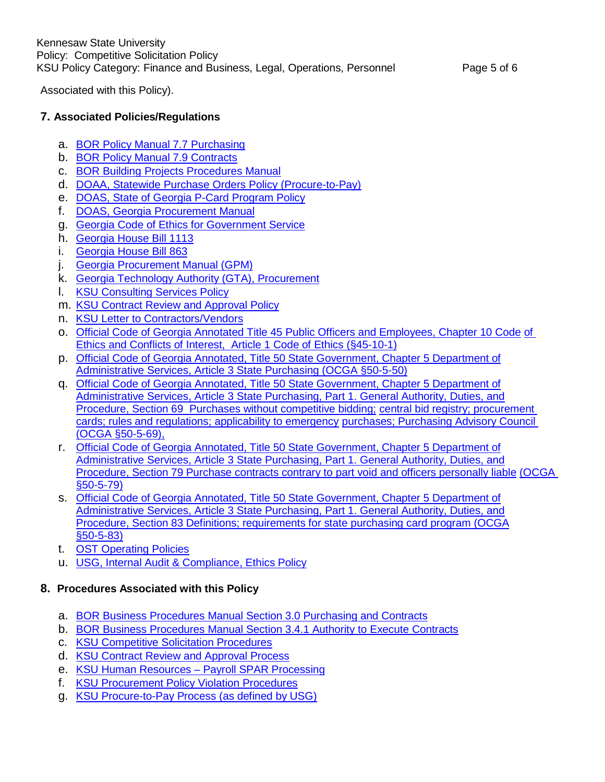Associated with this Policy).

# **7. Associated Policies/Regulations**

- a. [BOR Policy](http://www.usg.edu/policymanual/section7/policy/C467) Manual 7.7 Purchasing
- b. [BOR Policy](http://www.usg.edu/policymanual/section7/policy/C474) Manual 7.9 Contracts
- c. [BOR Building Projects Procedures Manual](http://www.usg.edu/building_project_procedures/)
- d. [DOAA, Statewide Purchase Orders Policy \(Procure-to-Pay\)](https://sao.georgia.gov/sites/sao.georgia.gov/files/related_files/site_page/PO%20Policy%20042914_AMENDED.pdf)
- e. [DOAS, State](http://doas.ga.gov/StateLocal/SPD/Docs_SPD_Cards/PCard_Policy.pdf) of Georgia P-Card Program Policy
- f. DOAS, Georgia [Procurement Manual](http://pur.doas.ga.gov/gpm/MyWebHelp/GPM_Main_File.htm)
- g. Georgia Code of Ethics for Government Service
- h. Georgia House [Bill 1113](http://www.legis.ga.gov/Legislation/en-US/display/20072008/HB/1113)
- i. [Georgia](http://www.legis.ga.gov/Legislation/en-us/display/20112012/HB/863) House Bill 863
- j. Georgia [Procurement](http://pur.doas.ga.gov/gpm/MyWebHelp/GPM_Main_File.htm) Manual (GPM)
- k. Georgia Technology Authority (GTA), [Procurement](http://gta.georgia.gov/procurement)
- l. [KSU Consulting](https://policy.kennesaw.edu/content/consulting-services-policy) Services Policy
- m. [KSU Contract Review](https://policy.kennesaw.edu/content/contract-review-and-approval-policy) and Approval Policy
- n. KSU Letter to [Contractors/Vendors](http://www.kennesaw.edu/legal/pdf/letter_to_ksu_contractors_and_vendors.pdf)
- o. Official Code of Georgia Annotated Title 45 Public Officers and [Employees, Chapter](http://www.lexisnexis.com/hottopics/gacode/default.asp) 10 Code [of](http://www.lexisnexis.com/hottopics/gacode/default.asp) Ethics and Conflicts of [Interest, Article 1](http://www.lexisnexis.com/hottopics/gacode/default.asp) Code of Ethics (§45-10-1)
- p. Official Code of Georgia Annotated, Title 50 State [Government,](http://www.lexis-nexis.com/hottopics/gacode/default.asp) Chapter 5 Department of Administrative Services, Article 3 State Purchasing [\(OCGA §50-5-50\)](http://www.lexis-nexis.com/hottopics/gacode/default.asp)
- q. Official Code of Georgia Annotated, Title 50 State [Government,](http://www.lexisnexis.com/hottopics/gacode/default.asp) Chapter 5 Department of Administrative Services, Article 3 State Purchasing, Part 1. General [Authority, Duties, and](http://www.lexisnexis.com/hottopics/gacode/default.asp) [Procedure, Section](http://www.lexisnexis.com/hottopics/gacode/default.asp) 69 Purchases without competitive bidding; central bid [registry; procurement](http://www.lexisnexis.com/hottopics/gacode/default.asp)  cards; rules [and regulations;](http://www.lexisnexis.com/hottopics/gacode/default.asp) applicability to emergency [purchases; Purchasing](http://www.lexisnexis.com/hottopics/gacode/default.asp) Advisory Council [\(OCGA §50-5-69\),](http://www.lexisnexis.com/hottopics/gacode/default.asp)
- r. Official Code of Georgia Annotated, Title 50 State [Government,](http://www.lexisnexis.com/hottopics/gacode/default.asp) Chapter 5 Department of Administrative Services, Article 3 State Purchasing, Part 1. General [Authority, Duties, and](http://www.lexisnexis.com/hottopics/gacode/default.asp) [Procedure, Section](http://www.lexisnexis.com/hottopics/gacode/default.asp) 79 Purchase contracts contrary to part void and officers personally liable (OCGA §50-5-79)
- s. Official Code of Georgia Annotated, Title 50 State [Government,](http://www.lexisnexis.com/hottopics/gacode/default.asp) Chapter 5 Department of Administrative Services, Article 3 State Purchasing, Part 1. General [Authority, Duties, and](http://www.lexisnexis.com/hottopics/gacode/default.asp) Procedure, Section 83 [Definitions; requirements](http://www.lexisnexis.com/hottopics/gacode/default.asp) for state purchasing card program (OCGA [§50-5-83\)](http://www.lexisnexis.com/hottopics/gacode/default.asp)
- t. [OST Operating](http://ost.georgia.gov/operating-policies) Policies
- u. [USG, Internal](http://www.usg.edu/audit/compliance/ethics) Audit & Compliance, Ethics Policy

## **8. Procedures Associated with this Policy**

- a. [BOR Business Procedures](http://www.usg.edu/business_procedures_manual/section3/) Manual Section 3.0 Purchasing and Contracts
- b. [BOR Business Procedures](http://www.usg.edu/business_procedures_manual/section3/manual/C1137/%23p3.4.1_authority_to_execute_contracts) Manual Section 3.4.1 Authority to Execute Contracts
- c. [KSU Competitive](http://www.kennesaw.edu/procurement/competitivesolicitationprocedures.html) Solicitation Procedures
- d. [KSU Contract Review](http://www.kennesaw.edu/legal/contract_review_and_approval_process.pdf) and Approval Process
- e. [KSU Human Resources –](https://web.kennesaw.edu/payroll/content/ags-processing) Payroll SPAR Processing
- f. KSU Procurement Policy [Violation Procedures](http://www.kennesaw.edu/procurement/policyviolationprocedures.html)
- g. KSU [Procure-to-Pay](http://www.kennesaw.edu/procurement/files/procuretopay.pdf) Process (as defined by USG)